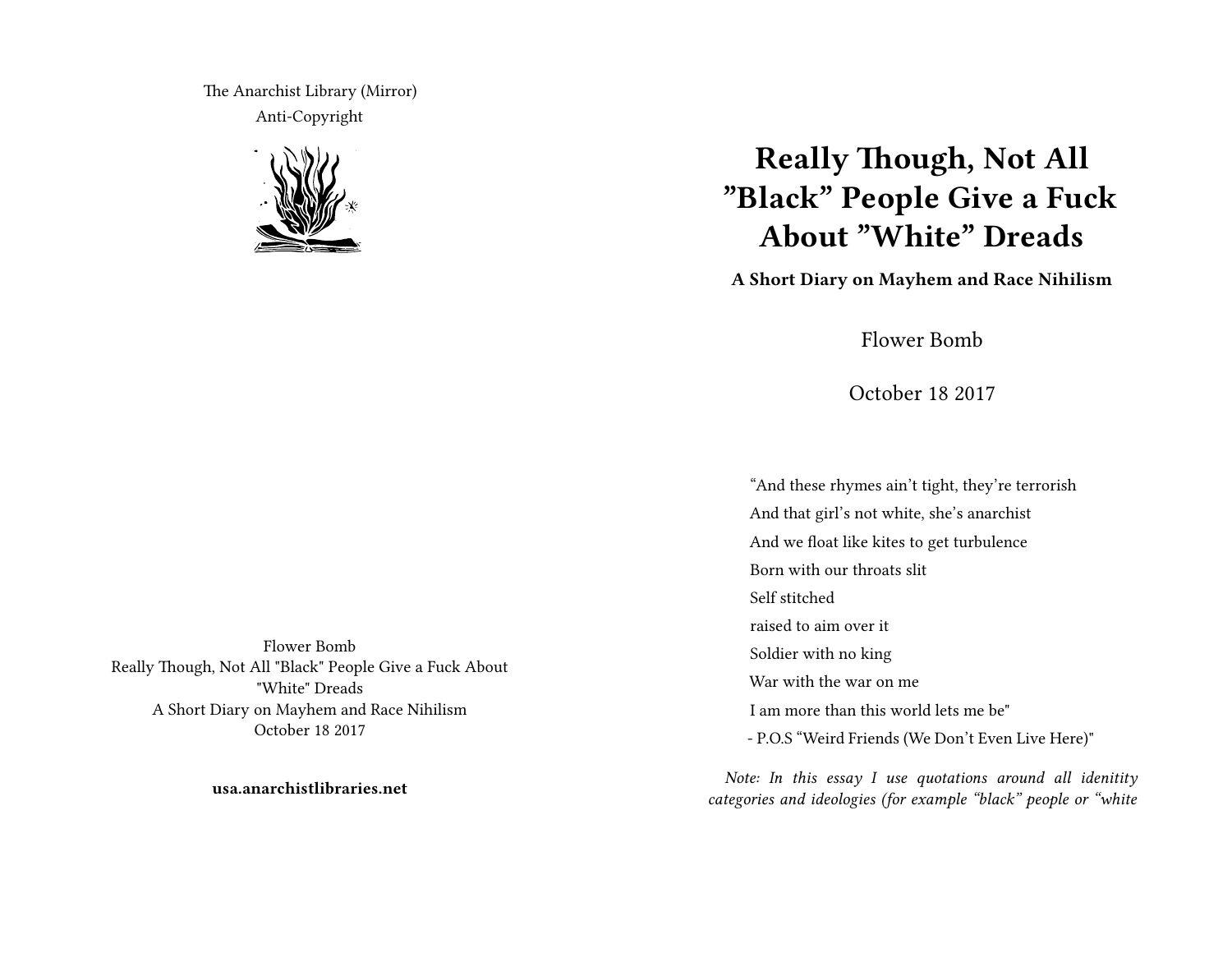The Anarchist Library (Mirror) Anti-Copyright



# **Really Though, Not All "Black" People Give a Fuck About "White" Dreads**

**A Short Diary on Mayhem and Race Nihilism**

Flower Bomb

October 18 2017

"And these rhymes ain't tight, they're terrorish And that girl's not white, she's anarchist And we float like kites to get turbulence Born with our throats slit Self stitched raised to aim over it Soldier with no king War with the war on me I am more than this world lets me be" - P.O.S "Weird Friends (We Don't Even Live Here)"

*Note: In this essay I use quotations around all idenitity categories and ideologies (for example "black" people or "white*

Flower Bomb Really Though, Not All "Black" People Give a Fuck About "White" Dreads A Short Diary on Mayhem and Race Nihilism October 18 2017

**usa.anarchistlibraries.net**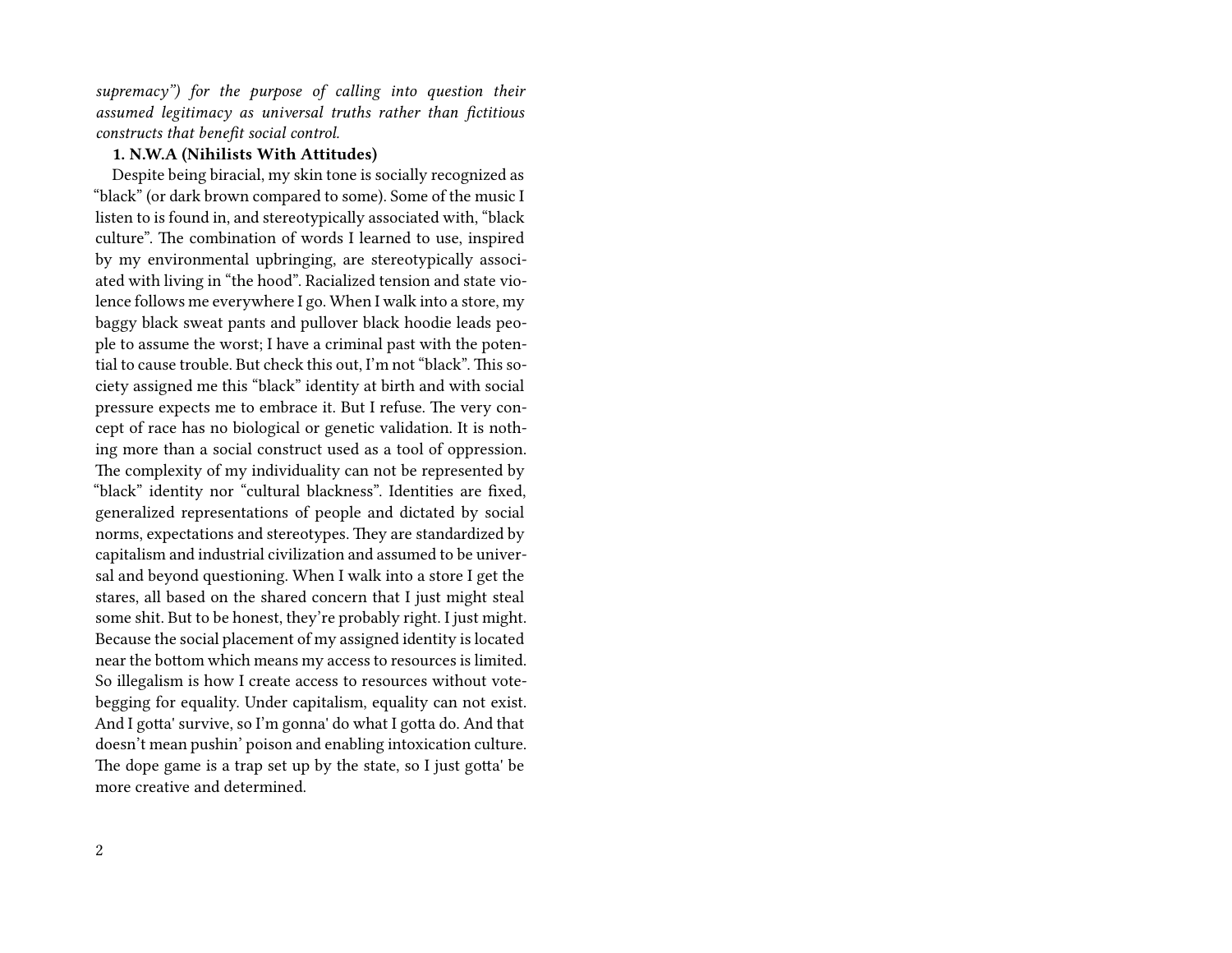*supremacy") for the purpose of calling into question their assumed legitimacy as universal truths rather than fictitious constructs that benefit social control.*

## **1. N.W.A (Nihilists With Attitudes)**

Despite being biracial, my skin tone is socially recognized as "black" (or dark brown compared to some). Some of the music I listen to is found in, and stereotypically associated with, "black culture". The combination of words I learned to use, inspired by my environmental upbringing, are stereotypically associated with living in "the hood". Racialized tension and state violence follows me everywhere I go. When I walk into a store, my baggy black sweat pants and pullover black hoodie leads people to assume the worst; I have a criminal past with the potential to cause trouble. But check this out, I'm not "black". This society assigned me this "black" identity at birth and with social pressure expects me to embrace it. But I refuse. The very concept of race has no biological or genetic validation. It is nothing more than a social construct used as a tool of oppression. The complexity of my individuality can not be represented by "black" identity nor "cultural blackness". Identities are fixed, generalized representations of people and dictated by social norms, expectations and stereotypes. They are standardized by capitalism and industrial civilization and assumed to be universal and beyond questioning. When I walk into a store I get the stares, all based on the shared concern that I just might steal some shit. But to be honest, they're probably right. I just might. Because the social placement of my assigned identity is located near the bottom which means my access to resources is limited. So illegalism is how I create access to resources without votebegging for equality. Under capitalism, equality can not exist. And I gotta' survive, so I'm gonna' do what I gotta do. And that doesn't mean pushin' poison and enabling intoxication culture. The dope game is a trap set up by the state, so I just gotta' be more creative and determined.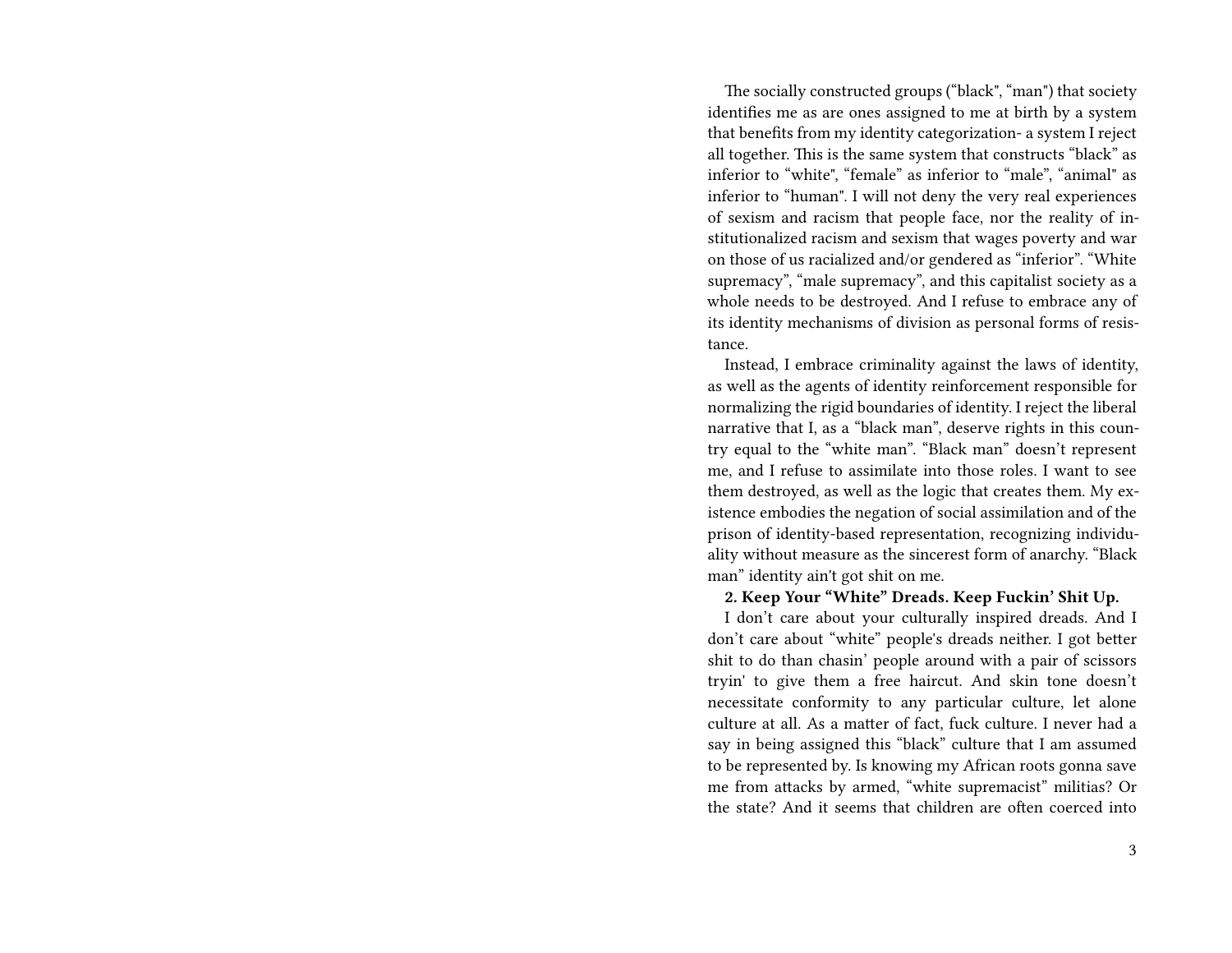The socially constructed groups ("black", "man") that society identifies me as are ones assigned to me at birth by a system that benefits from my identity categorization- a system I reject all together. This is the same system that constructs "black" as inferior to "white", "female" as inferior to "male", "animal" as inferior to "human". I will not deny the very real experiences of sexism and racism that people face, nor the reality of institutionalized racism and sexism that wages poverty and war on those of us racialized and/or gendered as "inferior". "White supremacy", "male supremacy", and this capitalist society as a whole needs to be destroyed. And I refuse to embrace any of its identity mechanisms of division as personal forms of resistance.

Instead, I embrace criminality against the laws of identity, as well as the agents of identity reinforcement responsible for normalizing the rigid boundaries of identity. I reject the liberal narrative that I, as a "black man", deserve rights in this country equal to the "white man". "Black man" doesn't represent me, and I refuse to assimilate into those roles. I want to see them destroyed, as well as the logic that creates them. My existence embodies the negation of social assimilation and of the prison of identity-based representation, recognizing individuality without measure as the sincerest form of anarchy. "Black man" identity ain't got shit on me.

#### **2. Keep Your "White" Dreads. Keep Fuckin' Shit Up.**

I don't care about your culturally inspired dreads. And I don't care about "white" people's dreads neither. I got better shit to do than chasin' people around with a pair of scissors tryin' to give them a free haircut. And skin tone doesn't necessitate conformity to any particular culture, let alone culture at all. As a matter of fact, fuck culture. I never had a say in being assigned this "black" culture that I am assumed to be represented by. Is knowing my African roots gonna save me from attacks by armed, "white supremacist" militias? Or the state? And it seems that children are often coerced into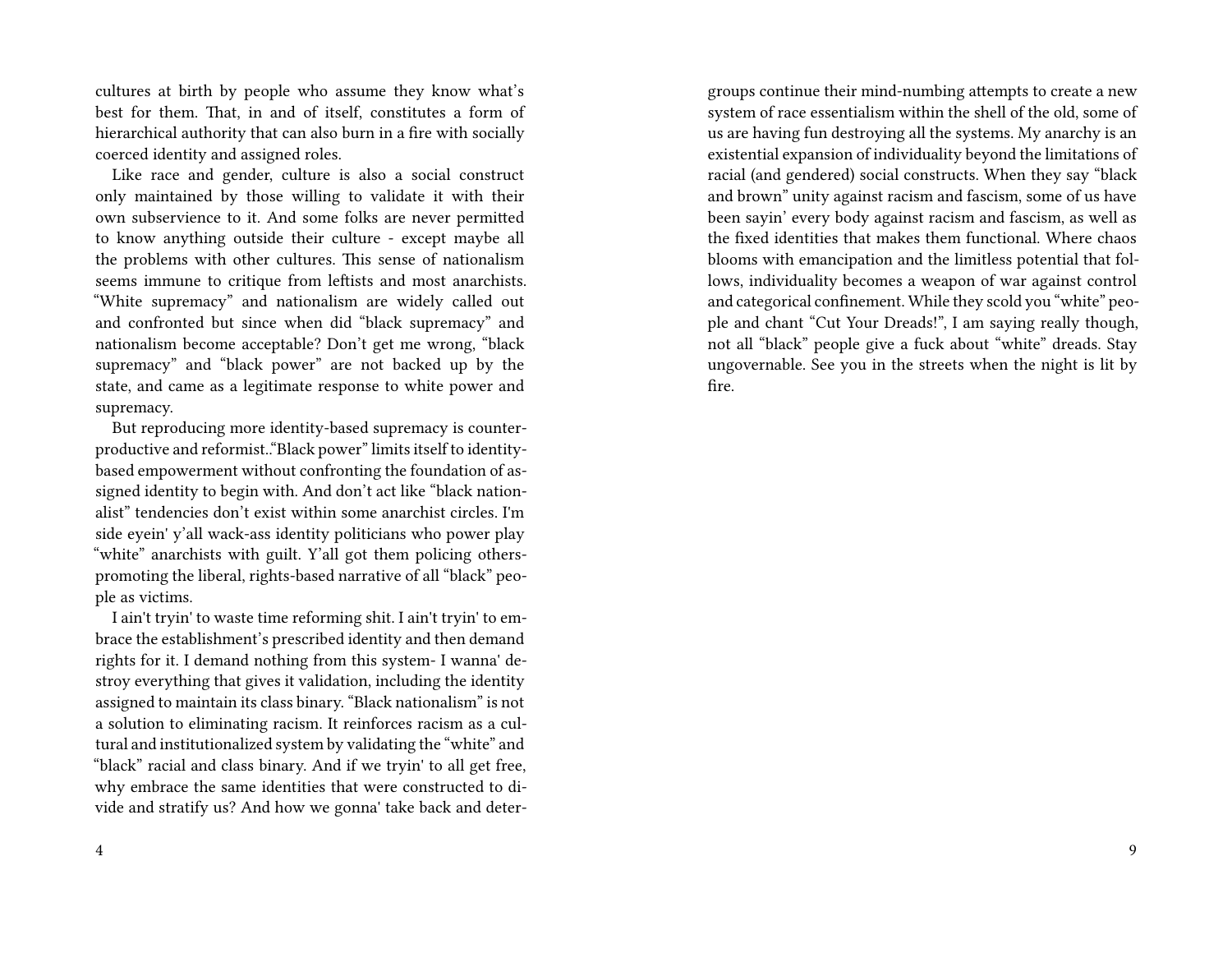cultures at birth by people who assume they know what's best for them. That, in and of itself, constitutes a form of hierarchical authority that can also burn in a fire with socially coerced identity and assigned roles.

Like race and gender, culture is also a social construct only maintained by those willing to validate it with their own subservience to it. And some folks are never permitted to know anything outside their culture - except maybe all the problems with other cultures. This sense of nationalism seems immune to critique from leftists and most anarchists. "White supremacy" and nationalism are widely called out and confronted but since when did "black supremacy" and nationalism become acceptable? Don't get me wrong, "black supremacy" and "black power" are not backed up by the state, and came as a legitimate response to white power and supremacy.

But reproducing more identity-based supremacy is counterproductive and reformist.."Black power" limits itself to identitybased empowerment without confronting the foundation of assigned identity to begin with. And don't act like "black nationalist" tendencies don't exist within some anarchist circles. I'm side eyein' y'all wack-ass identity politicians who power play "white" anarchists with guilt. Y'all got them policing otherspromoting the liberal, rights-based narrative of all "black" people as victims.

I ain't tryin' to waste time reforming shit. I ain't tryin' to embrace the establishment's prescribed identity and then demand rights for it. I demand nothing from this system- I wanna' destroy everything that gives it validation, including the identity assigned to maintain its class binary. "Black nationalism" is not a solution to eliminating racism. It reinforces racism as a cultural and institutionalized system by validating the "white" and "black" racial and class binary. And if we tryin' to all get free, why embrace the same identities that were constructed to divide and stratify us? And how we gonna' take back and detergroups continue their mind-numbing attempts to create a new system of race essentialism within the shell of the old, some of us are having fun destroying all the systems. My anarchy is an existential expansion of individuality beyond the limitations of racial (and gendered) social constructs. When they say "black and brown" unity against racism and fascism, some of us have been sayin' every body against racism and fascism, as well as the fixed identities that makes them functional. Where chaos blooms with emancipation and the limitless potential that follows, individuality becomes a weapon of war against control and categorical confinement. While they scold you "white" people and chant "Cut Your Dreads!", I am saying really though, not all "black" people give a fuck about "white" dreads. Stay ungovernable. See you in the streets when the night is lit by fire.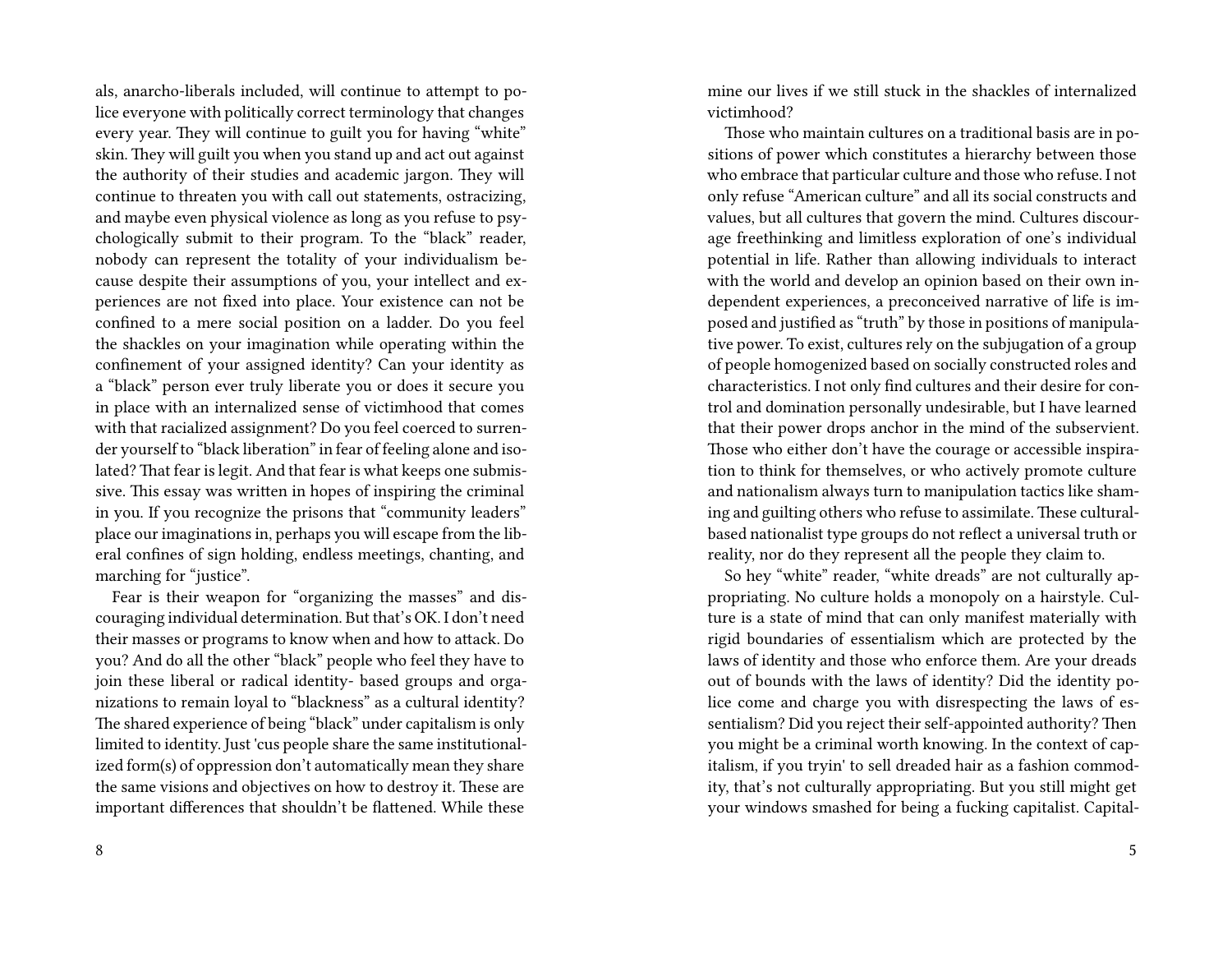als, anarcho-liberals included, will continue to attempt to police everyone with politically correct terminology that changes every year. They will continue to guilt you for having "white" skin. They will guilt you when you stand up and act out against the authority of their studies and academic jargon. They will continue to threaten you with call out statements, ostracizing, and maybe even physical violence as long as you refuse to psychologically submit to their program. To the "black" reader, nobody can represent the totality of your individualism because despite their assumptions of you, your intellect and experiences are not fixed into place. Your existence can not be confined to a mere social position on a ladder. Do you feel the shackles on your imagination while operating within the confinement of your assigned identity? Can your identity as a "black" person ever truly liberate you or does it secure you in place with an internalized sense of victimhood that comes with that racialized assignment? Do you feel coerced to surrender yourself to "black liberation" in fear of feeling alone and isolated? That fear is legit. And that fear is what keeps one submissive. This essay was written in hopes of inspiring the criminal in you. If you recognize the prisons that "community leaders" place our imaginations in, perhaps you will escape from the liberal confines of sign holding, endless meetings, chanting, and marching for "justice".

Fear is their weapon for "organizing the masses" and discouraging individual determination. But that's OK. I don't need their masses or programs to know when and how to attack. Do you? And do all the other "black" people who feel they have to join these liberal or radical identity- based groups and organizations to remain loyal to "blackness" as a cultural identity? The shared experience of being "black" under capitalism is only limited to identity. Just 'cus people share the same institutionalized form(s) of oppression don't automatically mean they share the same visions and objectives on how to destroy it. These are important differences that shouldn't be flattened. While these

mine our lives if we still stuck in the shackles of internalized victimhood?

Those who maintain cultures on a traditional basis are in positions of power which constitutes a hierarchy between those who embrace that particular culture and those who refuse. I not only refuse "American culture" and all its social constructs and values, but all cultures that govern the mind. Cultures discourage freethinking and limitless exploration of one's individual potential in life. Rather than allowing individuals to interact with the world and develop an opinion based on their own independent experiences, a preconceived narrative of life is imposed and justified as "truth" by those in positions of manipulative power. To exist, cultures rely on the subjugation of a group of people homogenized based on socially constructed roles and characteristics. I not only find cultures and their desire for control and domination personally undesirable, but I have learned that their power drops anchor in the mind of the subservient. Those who either don't have the courage or accessible inspiration to think for themselves, or who actively promote culture and nationalism always turn to manipulation tactics like shaming and guilting others who refuse to assimilate. These culturalbased nationalist type groups do not reflect a universal truth or reality, nor do they represent all the people they claim to.

So hey "white" reader, "white dreads" are not culturally appropriating. No culture holds a monopoly on a hairstyle. Culture is a state of mind that can only manifest materially with rigid boundaries of essentialism which are protected by the laws of identity and those who enforce them. Are your dreads out of bounds with the laws of identity? Did the identity police come and charge you with disrespecting the laws of essentialism? Did you reject their self-appointed authority? Then you might be a criminal worth knowing. In the context of capitalism, if you tryin' to sell dreaded hair as a fashion commodity, that's not culturally appropriating. But you still might get your windows smashed for being a fucking capitalist. Capital